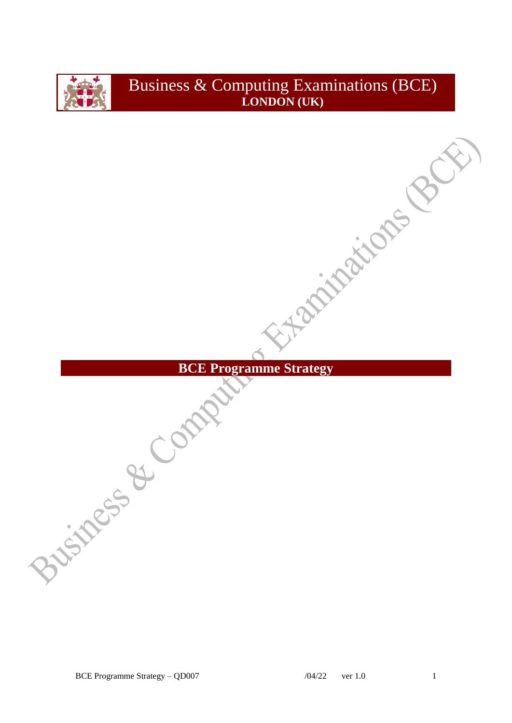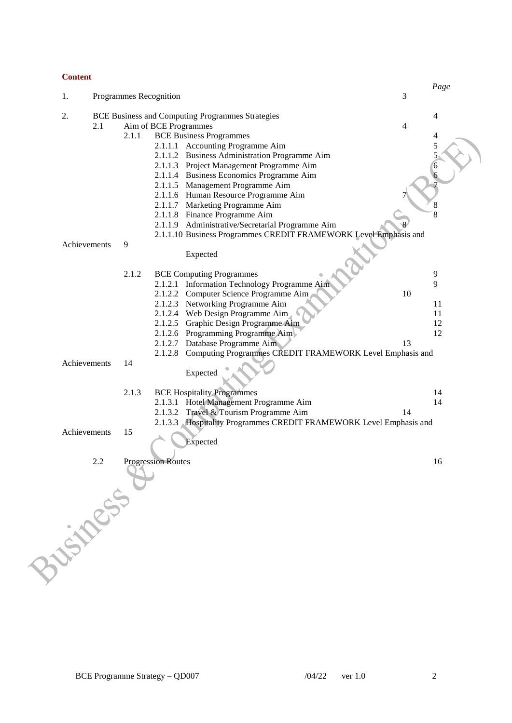# **Content**

|              |                                                         |       |                                                                    |    | Page |
|--------------|---------------------------------------------------------|-------|--------------------------------------------------------------------|----|------|
| 1.           |                                                         |       | Programmes Recognition                                             | 3  |      |
| 2.           | <b>BCE Business and Computing Programmes Strategies</b> |       |                                                                    |    | 4    |
|              | 2.1                                                     |       | Aim of BCE Programmes                                              | 4  |      |
|              |                                                         | 2.1.1 | <b>BCE Business Programmes</b>                                     |    | 4    |
|              |                                                         |       | 2.1.1.1 Accounting Programme Aim                                   |    |      |
|              |                                                         |       | 2.1.1.2 Business Administration Programme Aim                      |    |      |
|              |                                                         |       | 2.1.1.3 Project Management Programme Aim                           |    |      |
|              |                                                         |       | 2.1.1.4 Business Economics Programme Aim                           |    |      |
|              |                                                         |       | 2.1.1.5 Management Programme Aim                                   |    |      |
|              |                                                         |       | 2.1.1.6 Human Resource Programme Aim                               |    |      |
|              |                                                         |       | 2.1.1.7 Marketing Programme Aim                                    |    | 8    |
|              |                                                         |       | 2.1.1.8 Finance Programme Aim                                      |    | 8    |
|              |                                                         |       | 2.1.1.9 Administrative/Secretarial Programme Aim                   |    |      |
|              |                                                         |       | 2.1.1.10 Business Programmes CREDIT FRAMEWORK Level Emphasis and   |    |      |
| Achievements |                                                         | 9     |                                                                    |    |      |
|              |                                                         |       | Expected                                                           |    |      |
|              |                                                         |       |                                                                    |    |      |
|              |                                                         | 2.1.2 | <b>BCE Computing Programmes</b>                                    |    | 9    |
|              |                                                         |       | 2.1.2.1 Information Technology Programme Aim                       |    | 9    |
|              |                                                         |       | 2.1.2.2 Computer Science Programme Aim                             | 10 |      |
|              |                                                         |       | 2.1.2.3 Networking Programme Aim                                   |    | 11   |
|              |                                                         |       | 2.1.2.4 Web Design Programme Aim                                   |    | 11   |
|              |                                                         |       | 2.1.2.5 Graphic Design Programme Alm                               |    | 12   |
|              |                                                         |       | 2.1.2.6 Programming Programme Aim                                  |    | 12   |
|              |                                                         |       | 2.1.2.7 Database Programme Aim                                     | 13 |      |
|              |                                                         |       | 2.1.2.8 Computing Programmes CREDIT FRAMEWORK Level Emphasis and   |    |      |
| Achievements |                                                         | 14    |                                                                    |    |      |
|              |                                                         |       | Expected                                                           |    |      |
|              |                                                         | 2.1.3 | <b>BCE Hospitality Programmes</b>                                  |    | 14   |
|              |                                                         |       | 2.1.3.1 Hotel Management Programme Aim                             |    | 14   |
|              |                                                         |       | 2.1.3.2 Travel & Tourism Programme Aim                             | 14 |      |
|              |                                                         |       | 2.1.3.3 Hospitality Programmes CREDIT FRAMEWORK Level Emphasis and |    |      |
| Achievements |                                                         | 15    |                                                                    |    |      |
|              |                                                         |       | Expected                                                           |    |      |
|              |                                                         |       |                                                                    |    |      |
|              |                                                         |       | <b>Progression Routes</b>                                          |    | 16   |
| Frogression  |                                                         |       |                                                                    |    |      |
|              |                                                         |       |                                                                    |    |      |
|              |                                                         |       |                                                                    |    |      |
|              |                                                         |       |                                                                    |    |      |
|              |                                                         |       |                                                                    |    |      |
|              |                                                         |       |                                                                    |    |      |
|              |                                                         |       |                                                                    |    |      |
|              |                                                         |       |                                                                    |    |      |
|              |                                                         |       |                                                                    |    |      |
|              |                                                         |       |                                                                    |    |      |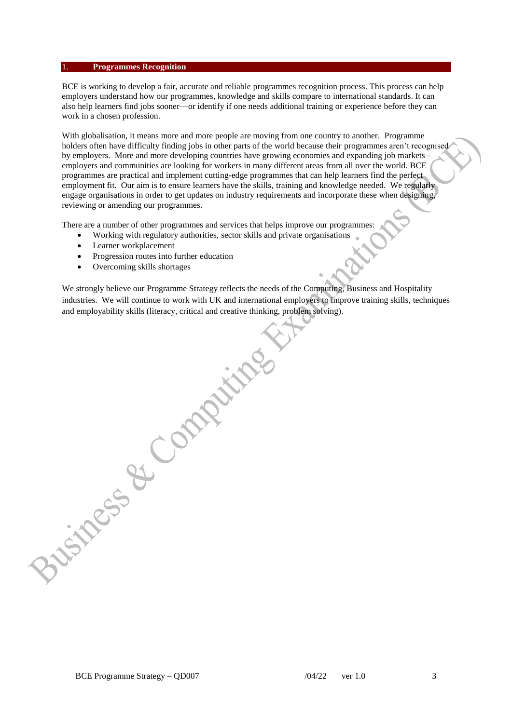#### 1. **Programmes Recognition**

BCE is working to develop a fair, accurate and reliable programmes recognition process. This process can help employers understand how our programmes, knowledge and skills compare to international standards. It can also help learners find jobs sooner—or identify if one needs additional training or experience before they can work in a chosen profession.

With globalisation, it means more and more people are moving from one country to another. Programme holders often have difficulty finding jobs in other parts of the world because their programmes aren't recognised by employers. More and more developing countries have growing economies and expanding job markets – employers and communities are looking for workers in many different areas from all over the world. BCE programmes are practical and implement cutting-edge programmes that can help learners find the perfect employment fit. Our aim is to ensure learners have the skills, training and knowledge needed. We regularly engage organisations in order to get updates on industry requirements and incorporate these when designing, reviewing or amending our programmes.

There are a number of other programmes and services that helps improve our programmes:

- Working with regulatory authorities, sector skills and private organisations
- Learner workplacement
- Progression routes into further education
- Overcoming skills shortages

We strongly believe our Programme Strategy reflects the needs of the Computing, Business and Hospitality industries. We will continue to work with UK and international employers to improve training skills, techniques and employability skills (literacy, critical and creative thinking, problem solving). Business of Comptitues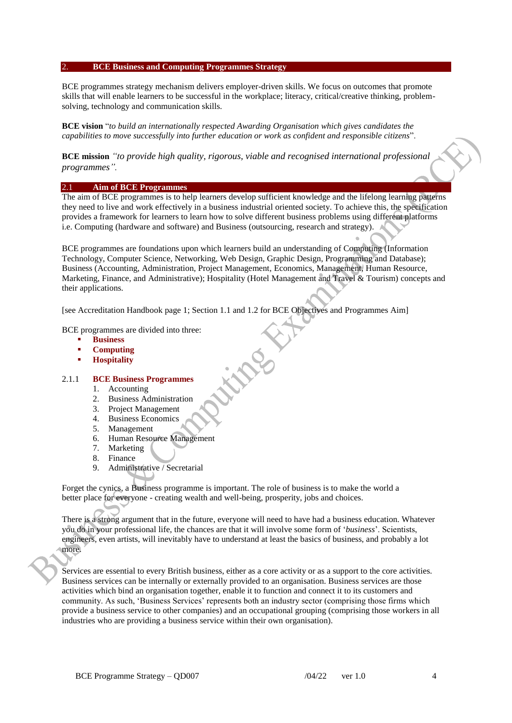#### 2. **BCE Business and Computing Programmes Strategy**

BCE programmes strategy mechanism delivers employer-driven skills. We focus on outcomes that promote skills that will enable learners to be successful in the workplace; literacy, critical/creative thinking, problemsolving, technology and communication skills.

**BCE vision** "*to build an internationally respected Awarding Organisation which gives candidates the capabilities to move successfully into further education or work as confident and responsible citizens*".

**BCE mission** *"to provide high quality, rigorous, viable and recognised international professional programmes".* 

#### 2.1 **Aim of BCE Programmes**

The aim of BCE programmes is to help learners develop sufficient knowledge and the lifelong learning patterns they need to live and work effectively in a business industrial oriented society. To achieve this, the specification provides a framework for learners to learn how to solve different business problems using different platforms i.e. Computing (hardware and software) and Business (outsourcing, research and strategy).

BCE programmes are foundations upon which learners build an understanding of Computing (Information Technology, Computer Science, Networking, Web Design, Graphic Design, Programming and Database); Business (Accounting, Administration, Project Management, Economics, Management, Human Resource, Marketing, Finance, and Administrative); Hospitality (Hotel Management and Travel & Tourism) concepts and their applications.

[see Accreditation Handbook page 1; Section 1.1 and 1.2 for BCE Objectives and Programmes Aim]

BCE programmes are divided into three:

- **Business**
- **Computing**
- **Hospitality**

#### 2.1.1 **BCE Business Programmes**

- 1. Accounting
- 2. Business Administration
- 3. Project Management
- 4. Business Economics
- 5. Management
- 6. Human Resource Management
- 7. Marketing
- 8. Finance
- 9. Administrative / Secretarial

Forget the cynics, a Business programme is important. The role of business is to make the world a better place for everyone - creating wealth and well-being, prosperity, jobs and choices.

There is a strong argument that in the future, everyone will need to have had a business education. Whatever you do in your professional life, the chances are that it will involve some form of '*business*'. Scientists, engineers, even artists, will inevitably have to understand at least the basics of business, and probably a lot more.

Services are essential to every British business, either as a core activity or as a support to the core activities. Business services can be internally or externally provided to an organisation. Business services are those activities which bind an organisation together, enable it to function and connect it to its customers and community. As such, 'Business Services' represents both an industry sector (comprising those firms which provide a business service to other companies) and an occupational grouping (comprising those workers in all industries who are providing a business service within their own organisation).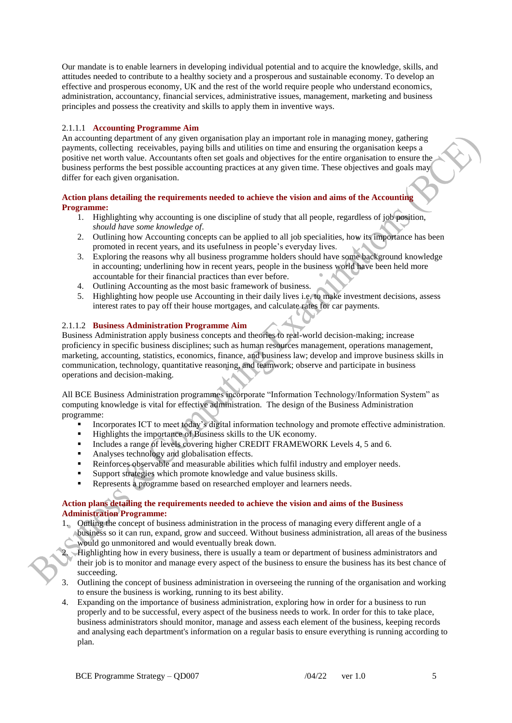Our mandate is to enable learners in developing individual potential and to acquire the knowledge, skills, and attitudes needed to contribute to a healthy society and a prosperous and sustainable economy. To develop an effective and prosperous economy, UK and the rest of the world require people who understand economics, administration, accountancy, financial services, administrative issues, management, marketing and business principles and possess the creativity and skills to apply them in inventive ways.

# 2.1.1.1 **Accounting Programme Aim**

An accounting department of any given organisation play an important role in managing money, gathering payments, collecting receivables, paying bills and utilities on time and ensuring the organisation keeps a positive net worth value. Accountants often set goals and objectives for the entire organisation to ensure the business performs the best possible accounting practices at any given time. These objectives and goals may differ for each given organisation.

## **Action plans detailing the requirements needed to achieve the vision and aims of the Accounting Programme:**

- 1. Highlighting why accounting is one discipline of study that all people, regardless of job position, *should have some knowledge of*.
- 2. Outlining how Accounting concepts can be applied to all job specialities, how its importance has been promoted in recent years, and its usefulness in people's everyday lives.
- 3. Exploring the reasons why all business programme holders should have some background knowledge in accounting; underlining how in recent years, people in the business world have been held more accountable for their financial practices than ever before.
- 4. Outlining Accounting as the most basic framework of business.
- 5. Highlighting how people use Accounting in their daily lives i.e. to make investment decisions, assess interest rates to pay off their house mortgages, and calculate rates for car payments.

### 2.1.1.2 **Business Administration Programme Aim**

Business Administration apply business concepts and theories to real-world decision-making; increase proficiency in specific business disciplines; such as human resources management, operations management, marketing, accounting, statistics, economics, finance, and business law; develop and improve business skills in communication, technology, quantitative reasoning, and teamwork; observe and participate in business operations and decision-making.

All BCE Business Administration programmes incorporate "Information Technology/Information System" as computing knowledge is vital for effective administration. The design of the Business Administration programme:

- Incorporates ICT to meet today's digital information technology and promote effective administration.
- Highlights the importance of Business skills to the UK economy.
- Includes a range of levels covering higher CREDIT FRAMEWORK Levels 4, 5 and 6.
- Analyses technology and globalisation effects.
- Reinforces observable and measurable abilities which fulfil industry and employer needs.
- Support strategies which promote knowledge and value business skills.<br>Represents a programme based on researched employer and learners neg
- Represents a programme based on researched employer and learners needs.

# **Action plans detailing the requirements needed to achieve the vision and aims of the Business Administration Programme:**

- 1. Outling the concept of business administration in the process of managing every different angle of a business so it can run, expand, grow and succeed. Without business administration, all areas of the business would go unmonitored and would eventually break down.
- 2. Highlighting how in every business, there is usually a team or department of business administrators and their job is to monitor and manage every aspect of the business to ensure the business has its best chance of succeeding.
- 3. Outlining the concept of business administration in overseeing the running of the organisation and working to ensure the business is working, running to its best ability.
- 4. Expanding on the importance of business administration, exploring how in order for a business to run properly and to be successful, every aspect of the business needs to work. In order for this to take place, business administrators should monitor, manage and assess each element of the business, keeping records and analysing each department's information on a regular basis to ensure everything is running according to plan.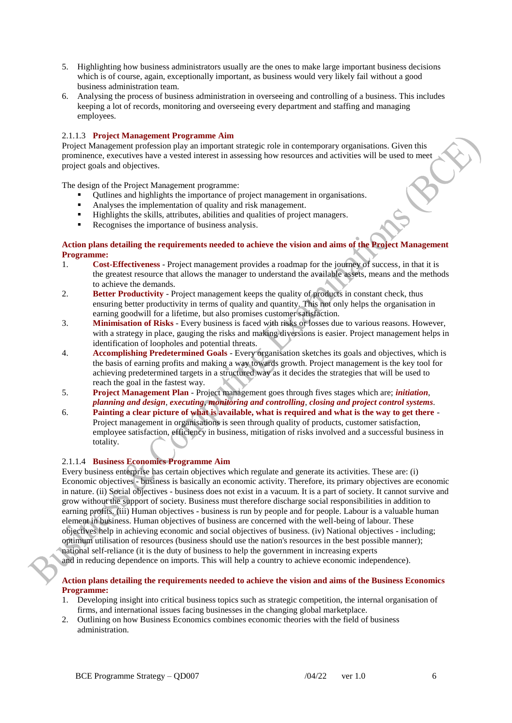- 5. Highlighting how business administrators usually are the ones to make large important business decisions which is of course, again, exceptionally important, as business would very likely fail without a good business administration team.
- 6. Analysing the process of business administration in overseeing and controlling of a business. This includes keeping a lot of records, monitoring and overseeing every department and staffing and managing employees.

# 2.1.1.3 **Project Management Programme Aim**

Project Management profession play an important strategic role in contemporary organisations. Given this prominence, executives have a vested interest in assessing how resources and activities will be used to meet project goals and objectives.

The design of the Project Management programme:

- Qutlines and highlights the importance of project management in organisations.
- Analyses the implementation of quality and risk management.
- Highlights the skills, attributes, abilities and qualities of project managers.
- Recognises the importance of business analysis.

## **Action plans detailing the requirements needed to achieve the vision and aims of the Project Management Programme:**

- 1. **Cost-Effectiveness** Project management provides a roadmap for the journey of success, in that it is the greatest resource that allows the manager to understand the available assets, means and the methods to achieve the demands.
- 2. **Better Productivity** Project management keeps the quality of products in constant check, thus ensuring better productivity in terms of quality and quantity. This not only helps the organisation in earning goodwill for a lifetime, but also promises customer satisfaction.
- 3. **Minimisation of Risks** Every business is faced with risks or losses due to various reasons. However, with a strategy in place, gauging the risks and making diversions is easier. Project management helps in identification of loopholes and potential threats.
- 4. **Accomplishing Predetermined Goals** Every organisation sketches its goals and objectives, which is the basis of earning profits and making a way towards growth. Project management is the key tool for achieving predetermined targets in a structured way as it decides the strategies that will be used to reach the goal in the fastest way.
- 5. **Project Management Plan** Project management goes through fives stages which are; *initiation*, *planning and design*, *executing*, *monitoring and controlling*, *closing and project control systems*.
- 6. **Painting a clear picture of what is available, what is required and what is the way to get there** Project management in organisations is seen through quality of products, customer satisfaction, employee satisfaction, efficiency in business, mitigation of risks involved and a successful business in totality.

# 2.1.1.4 **Business Economics Programme Aim**

Every business enterprise has certain objectives which regulate and generate its activities. These are: (i) Economic objectives - business is basically an economic activity. Therefore, its primary objectives are economic in nature. (ii) Social objectives - business does not exist in a vacuum. It is a part of society. It cannot survive and grow without the support of society. Business must therefore discharge social responsibilities in addition to earning profits. (iii) Human objectives - business is run by people and for people. Labour is a valuable human element in business. Human objectives of business are concerned with the well-being of labour. These objectives help in achieving economic and social objectives of business. (iv) National objectives - including; optimum utilisation of resources (business should use the nation's resources in the best possible manner); national self-reliance (it is the duty of business to help the government in increasing experts

and in reducing dependence on imports. This will help a country to achieve economic independence).

### **Action plans detailing the requirements needed to achieve the vision and aims of the Business Economics Programme:**

- 1. Developing insight into critical business topics such as strategic competition, the internal organisation of firms, and international issues facing businesses in the changing global marketplace.
- 2. Outlining on how Business Economics combines economic theories with the field of business administration.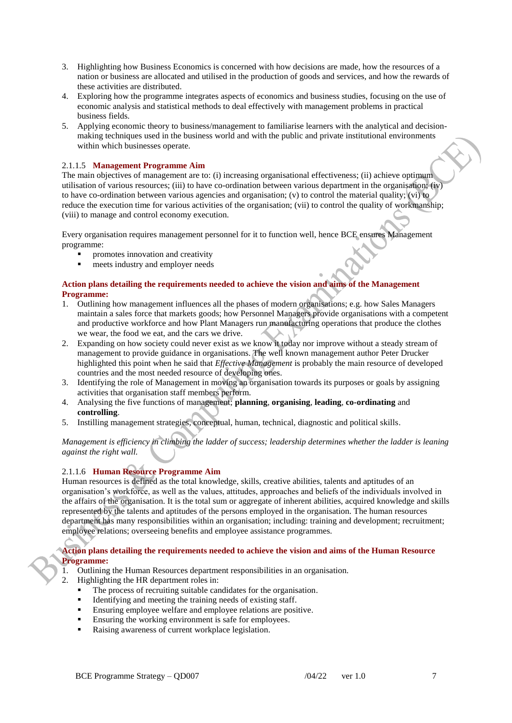- 3. Highlighting how Business Economics is concerned with how decisions are made, how the resources of a nation or business are allocated and utilised in the production of goods and services, and how the rewards of these activities are distributed.
- 4. Exploring how the programme integrates aspects of economics and business studies, focusing on the use of economic analysis and statistical methods to deal effectively with management problems in practical business fields.
- 5. Applying economic theory to business/management to familiarise learners with the analytical and decisionmaking techniques used in the business world and with the public and private institutional environments within which businesses operate.

### 2.1.1.5 **Management Programme Aim**

The main objectives of management are to: (i) increasing organisational effectiveness; (ii) achieve optimum utilisation of various resources; (iii) to have co-ordination between various department in the organisation; (iv) to have co-ordination between various agencies and organisation; (v) to control the material quality; (vi) to reduce the execution time for various activities of the organisation; (vii) to control the quality of workmanship; (viii) to manage and control economy execution.

Every organisation requires management personnel for it to function well, hence BCE ensures Management programme:

- promotes innovation and creativity
- meets industry and employer needs

#### **Action plans detailing the requirements needed to achieve the vision and aims of the Management Programme:**

- 1. Outlining how management influences all the phases of modern organisations; e.g. how Sales Managers maintain a sales force that markets goods; how Personnel Managers provide organisations with a competent and productive workforce and how Plant Managers run manufacturing operations that produce the clothes we wear, the food we eat, and the cars we drive.
- 2. Expanding on how society could never exist as we know it today nor improve without a steady stream of management to provide guidance in organisations. The well known management author Peter Drucker highlighted this point when he said that *Effective Management* is probably the main resource of developed countries and the most needed resource of developing ones.
- 3. Identifying the role of Management in moving an organisation towards its purposes or goals by assigning activities that organisation staff members perform.
- 4. Analysing the five functions of management; **planning**, **organising**, **leading**, **co-ordinating** and **controlling**.
- 5. Instilling management strategies, conceptual, human, technical, diagnostic and political skills.

*Management is efficiency in climbing the ladder of success; leadership determines whether the ladder is leaning against the right wall.*

# 2.1.1.6 **Human Resource Programme Aim**

Human resources is defined as the total knowledge, skills, creative abilities, talents and aptitudes of an organisation's workforce, as well as the values, attitudes, approaches and beliefs of the individuals involved in the affairs of the organisation. It is the total sum or aggregate of inherent abilities, acquired knowledge and skills represented by the talents and aptitudes of the persons employed in the organisation. The human resources department has many responsibilities within an organisation; including: training and development; recruitment; employee relations; overseeing benefits and employee assistance programmes.

**Action plans detailing the requirements needed to achieve the vision and aims of the Human Resource Programme:**

- 1. Outlining the Human Resources department responsibilities in an organisation.
- 2. Highlighting the HR department roles in:
	- The process of recruiting suitable candidates for the organisation.
	- Identifying and meeting the training needs of existing staff.
	- Ensuring employee welfare and employee relations are positive.
	- Ensuring the working environment is safe for employees.
	- Raising awareness of current workplace legislation.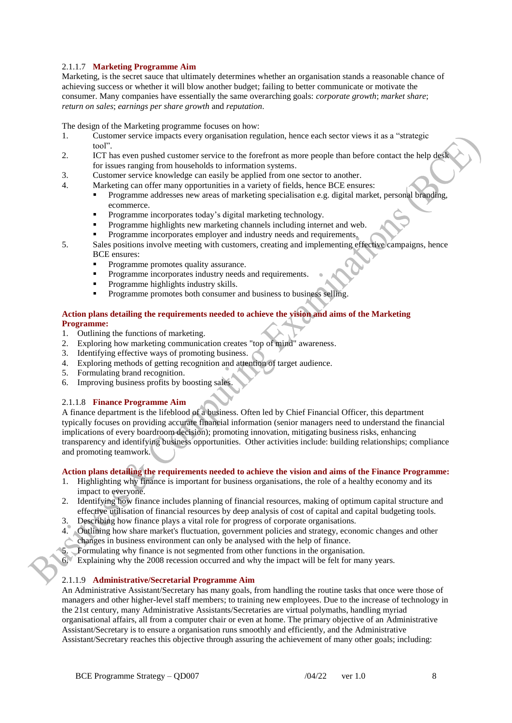# 2.1.1.7 **Marketing Programme Aim**

Marketing, is the secret sauce that ultimately determines whether an organisation stands a reasonable chance of achieving success or whether it will blow another budget; failing to better communicate or motivate the consumer. Many companies have essentially the same overarching goals: *corporate growth*; *market share*; *return on sales*; *earnings per share growth* and *reputation*.

The design of the Marketing programme focuses on how:

- 1. Customer service impacts every organisation regulation, hence each sector views it as a "strategic tool".
- 2. ICT has even pushed customer service to the forefront as more people than before contact the help desk for issues ranging from households to information systems.
- 3. Customer service knowledge can easily be applied from one sector to another.
- 4. Marketing can offer many opportunities in a variety of fields, hence BCE ensures:
	- Programme addresses new areas of marketing specialisation e.g. digital market, personal branding, ecommerce.
	- Programme incorporates today's digital marketing technology.
	- Programme highlights new marketing channels including internet and web.
	- Programme incorporates employer and industry needs and requirements.
- 5. Sales positions involve meeting with customers, creating and implementing effective campaigns, hence BCE ensures:
	- Programme promotes quality assurance.
	- **Programme incorporates industry needs and requirements.**
	- Programme highlights industry skills.
	- Programme promotes both consumer and business to business selling.

#### **Action plans detailing the requirements needed to achieve the vision and aims of the Marketing Programme:**

- 1. Outlining the functions of marketing.
- 2. Exploring how marketing communication creates "top of mind" awareness.
- 3. Identifying effective ways of promoting business.
- 4. Exploring methods of getting recognition and attention of target audience.
- 5. Formulating brand recognition.
- 6. Improving business profits by boosting sales.

### 2.1.1.8 **Finance Programme Aim**

A finance department is the lifeblood of a business. Often led by Chief Financial Officer, this department typically focuses on providing accurate financial information (senior managers need to understand the financial implications of every boardroom decision); promoting innovation, mitigating business risks, enhancing transparency and identifying business opportunities. Other activities include: building relationships; compliance and promoting teamwork.

# **Action plans detailing the requirements needed to achieve the vision and aims of the Finance Programme:**

- 1. Highlighting why finance is important for business organisations, the role of a healthy economy and its impact to everyone.
- 2. Identifying how finance includes planning of financial resources, making of optimum capital structure and effective utilisation of financial resources by deep analysis of cost of capital and capital budgeting tools.
- 3. Describing how finance plays a vital role for progress of corporate organisations.
- 4. Outlining how share market's fluctuation, government policies and strategy, economic changes and other changes in business environment can only be analysed with the help of finance.
- 5. Formulating why finance is not segmented from other functions in the organisation.

6. Explaining why the 2008 recession occurred and why the impact will be felt for many years.

### 2.1.1.9 **Administrative/Secretarial Programme Aim**

An Administrative Assistant/Secretary has many goals, from handling the routine tasks that once were those of managers and other higher-level staff members; to training new employees. Due to the increase of technology in the 21st century, many Administrative Assistants/Secretaries are virtual polymaths, handling myriad organisational affairs, all from a computer chair or even at home. The primary objective of an Administrative Assistant/Secretary is to ensure a organisation runs smoothly and efficiently, and the Administrative Assistant/Secretary reaches this objective through assuring the achievement of many other goals; including: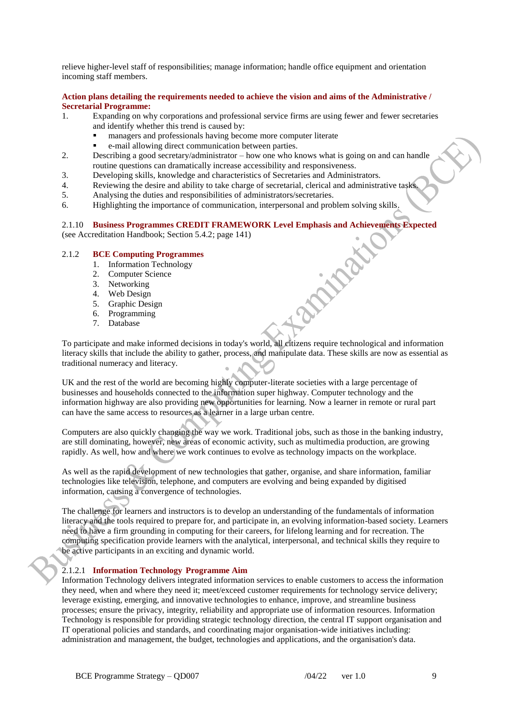relieve higher-level staff of responsibilities; manage information; handle office equipment and orientation incoming staff members.

### **Action plans detailing the requirements needed to achieve the vision and aims of the Administrative / Secretarial Programme:**

- 1. Expanding on why corporations and professional service firms are using fewer and fewer secretaries and identify whether this trend is caused by:
	- managers and professionals having become more computer literate
	- e-mail allowing direct communication between parties.
- 2. Describing a good secretary/administrator how one who knows what is going on and can handle routine questions can dramatically increase accessibility and responsiveness.
- 3. Developing skills, knowledge and characteristics of Secretaries and Administrators.
- 4. Reviewing the desire and ability to take charge of secretarial, clerical and administrative tasks.
- 5. Analysing the duties and responsibilities of administrators/secretaries.
- 6. Highlighting the importance of communication, interpersonal and problem solving skills.

# 2.1.10 **Business Programmes CREDIT FRAMEWORK Level Emphasis and Achievements Expected**

(see Accreditation Handbook; Section 5.4.2; page 141)

### 2.1.2 **BCE Computing Programmes**

- 1. Information Technology
- 2. Computer Science
- 3. Networking
- 4. Web Design
- 5. Graphic Design
- 6. Programming
- 7. Database

To participate and make informed decisions in today's world, all citizens require technological and information literacy skills that include the ability to gather, process, and manipulate data. These skills are now as essential as traditional numeracy and literacy.

UK and the rest of the world are becoming highly computer-literate societies with a large percentage of businesses and households connected to the information super highway. Computer technology and the information highway are also providing new opportunities for learning. Now a learner in remote or rural part can have the same access to resources as a learner in a large urban centre.

Computers are also quickly changing the way we work. Traditional jobs, such as those in the banking industry, are still dominating, however, new areas of economic activity, such as multimedia production, are growing rapidly. As well, how and where we work continues to evolve as technology impacts on the workplace.

As well as the rapid development of new technologies that gather, organise, and share information, familiar technologies like television, telephone, and computers are evolving and being expanded by digitised information, causing a convergence of technologies.

The challenge for learners and instructors is to develop an understanding of the fundamentals of information literacy and the tools required to prepare for, and participate in, an evolving information-based society. Learners need to have a firm grounding in computing for their careers, for lifelong learning and for recreation. The computing specification provide learners with the analytical, interpersonal, and technical skills they require to be active participants in an exciting and dynamic world.

### 2.1.2.1 **Information Technology Programme Aim**

Information Technology delivers integrated information services to enable customers to access the information they need, when and where they need it; meet/exceed customer requirements for technology service delivery; leverage existing, emerging, and innovative technologies to enhance, improve, and streamline business processes; ensure the privacy, integrity, reliability and appropriate use of information resources. Information Technology is responsible for providing strategic technology direction, the central IT support organisation and IT operational policies and standards, and coordinating major organisation-wide initiatives including: administration and management, the budget, technologies and applications, and the organisation's data.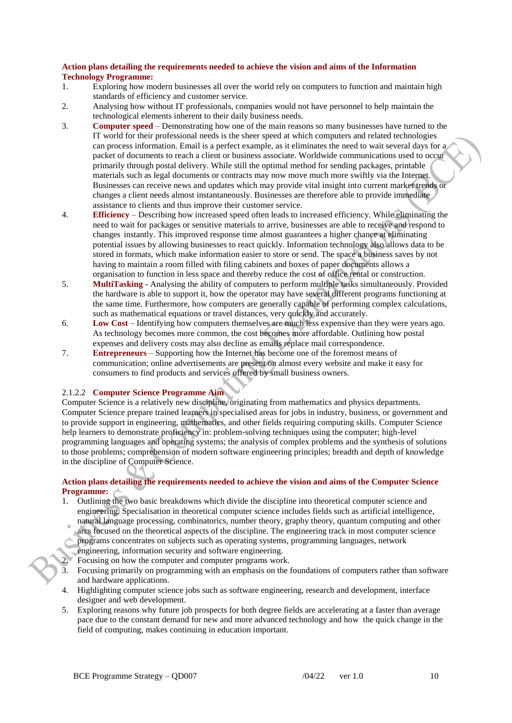# **Action plans detailing the requirements needed to achieve the vision and aims of the Information Technology Programme:**

- 1. Exploring how modern businesses all over the world rely on computers to function and maintain high standards of efficiency and customer service.
- 2. Analysing how without IT professionals, companies would not have personnel to help maintain the technological elements inherent to their daily business needs.
- 3. **Computer speed** Demonstrating how one of the main reasons so many businesses have turned to the IT world for their professional needs is the sheer speed at which computers and related technologies can process information. Email is a perfect example, as it eliminates the need to wait several days for a packet of documents to reach a client or business associate. Worldwide communications used to occur primarily through postal delivery. While still the optimal method for sending packages, printable materials such as legal documents or contracts may now move much more swiftly via the Internet. Businesses can receive news and updates which may provide vital insight into current market trends or changes a client needs almost instantaneously. Businesses are therefore able to provide immediate assistance to clients and thus improve their customer service.
- 4. **Efficiency** Describing how increased speed often leads to increased efficiency. While eliminating the need to wait for packages or sensitive materials to arrive, businesses are able to receive and respond to changes instantly. This improved response time almost guarantees a higher chance at eliminating potential issues by allowing businesses to react quickly. Information technology also allows data to be stored in formats, which make information easier to store or send. The space a business saves by not having to maintain a room filled with filing cabinets and boxes of paper documents allows a organisation to function in less space and thereby reduce the cost of office rental or construction.
- 5. **MultiTasking** Analysing the ability of computers to perform multiple tasks simultaneously. Provided the hardware is able to support it, how the operator may have several different programs functioning at the same time. Furthermore, how computers are generally capable of performing complex calculations, such as mathematical equations or travel distances, very quickly and accurately.
- 6. **Low Cost** Identifying how computers themselves are much less expensive than they were years ago. As technology becomes more common, the cost becomes more affordable. Outlining how postal expenses and delivery costs may also decline as emails replace mail correspondence.
- 7. **Entrepreneurs** Supporting how the Internet has become one of the foremost means of communication; online advertisements are present on almost every website and make it easy for consumers to find products and services offered by small business owners.

# 2.1.2.2 **Computer Science Programme Aim**

Computer Science is a relatively new discipline, originating from mathematics and physics departments. Computer Science prepare trained learners in specialised areas for jobs in industry, business, or government and to provide support in engineering, mathematics, and other fields requiring computing skills. Computer Science help learners to demonstrate proficiency in: problem-solving techniques using the computer; high-level programming languages and operating systems; the analysis of complex problems and the synthesis of solutions to those problems; comprehension of modern software engineering principles; breadth and depth of knowledge in the discipline of Computer Science.

# **Action plans detailing the requirements needed to achieve the vision and aims of the Computer Science Programme:**

- 1. Outlining the two basic breakdowns which divide the discipline into theoretical computer science and engineering. Specialisation in theoretical computer science includes fields such as artificial intelligence, natural language processing, combinatorics, number theory, graphy theory, quantum computing and other
- arcs focused on the theoretical aspects of the discipline. The engineering track in most computer science programs concentrates on subjects such as operating systems, programming languages, network engineering, information security and software engineering.
- Focusing on how the computer and computer programs work.
- 3. Focusing primarily on programming with an emphasis on the foundations of computers rather than software and hardware applications.
- 4. Highlighting computer science jobs such as software engineering, research and development, interface designer and web development.
- 5. Exploring reasons why future job prospects for both degree fields are accelerating at a faster than average pace due to the constant demand for new and more advanced technology and how the quick change in the field of computing, makes continuing in education important.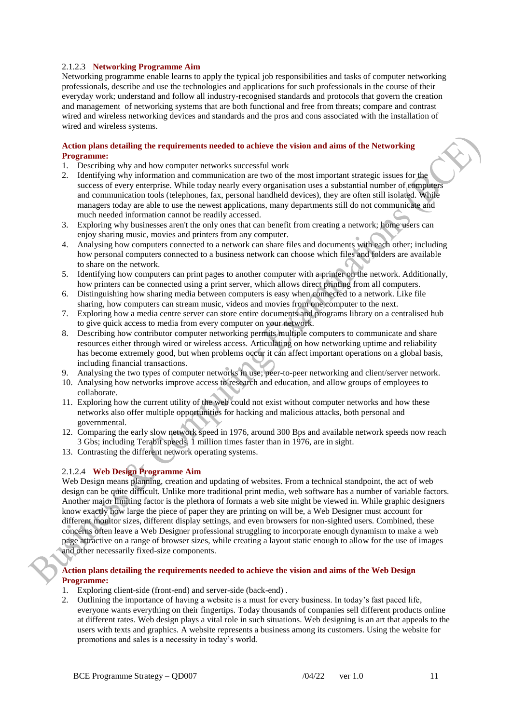# 2.1.2.3 **Networking Programme Aim**

Networking programme enable learns to apply the typical job responsibilities and tasks of computer networking professionals, describe and use the technologies and applications for such professionals in the course of their everyday work; understand and follow all industry-recognised standards and protocols that govern the creation and management of networking systems that are both functional and free from threats; compare and contrast wired and wireless networking devices and standards and the pros and cons associated with the installation of wired and wireless systems.

#### **Action plans detailing the requirements needed to achieve the vision and aims of the Networking Programme:**

- 1. Describing why and how computer networks successful work
- 2. Identifying why information and communication are two of the most important strategic issues for the success of every enterprise. While today nearly every organisation uses a substantial number of computers and communication tools (telephones, fax, personal handheld devices), they are often still isolated. While managers today are able to use the newest applications, many departments still do not communicate and much needed information cannot be readily accessed.
- 3. Exploring why businesses aren't the only ones that can benefit from creating a network; home users can enjoy sharing music, movies and printers from any computer.
- 4. Analysing how computers connected to a network can share files and documents with each other; including how personal computers connected to a business network can choose which files and folders are available to share on the network.
- 5. Identifying how computers can print pages to another computer with a printer on the network. Additionally, how printers can be connected using a print server, which allows direct printing from all computers.
- 6. Distinguishing how sharing media between computers is easy when connected to a network. Like file sharing, how computers can stream music, videos and movies from one computer to the next.
- 7. Exploring how a media centre server can store entire documents and programs library on a centralised hub to give quick access to media from every computer on your network.
- 8. Describing how contributor computer networking permits multiple computers to communicate and share resources either through wired or wireless access. Articulating on how networking uptime and reliability has become extremely good, but when problems occur it can affect important operations on a global basis, including financial transactions.
- 9. Analysing the two types of computer networks in use; peer-to-peer networking and client/server network.
- 10. Analysing how networks improve access to research and education, and allow groups of employees to collaborate.
- 11. Exploring how the current utility of the web could not exist without computer networks and how these networks also offer multiple opportunities for hacking and malicious attacks, both personal and governmental.
- 12. Comparing the early slow network speed in 1976, around 300 Bps and available network speeds now reach 3 Gbs; including Terabit speeds, 1 million times faster than in 1976, are in sight.
- 13. Contrasting the different network operating systems.

### 2.1.2.4 **Web Design Programme Aim**

Web Design means planning, creation and updating of websites. From a technical standpoint, the act of web design can be quite difficult. Unlike more traditional print media, web software has a number of variable factors. Another major limiting factor is the plethora of formats a web site might be viewed in. While graphic designers know exactly how large the piece of paper they are printing on will be, a Web Designer must account for different monitor sizes, different display settings, and even browsers for non-sighted users. Combined, these concerns often leave a Web Designer professional struggling to incorporate enough dynamism to make a web page attractive on a range of browser sizes, while creating a layout static enough to allow for the use of images and other necessarily fixed-size components.

### **Action plans detailing the requirements needed to achieve the vision and aims of the Web Design Programme:**

- 1. Exploring client-side (front-end) and server-side (back-end) .
- 2. Outlining the importance of having a website is a must for every business. In today's fast paced life, everyone wants everything on their fingertips. Today thousands of companies sell different products online at different rates. Web design plays a vital role in such situations. Web designing is an art that appeals to the users with texts and graphics. A website represents a business among its customers. Using the website for promotions and sales is a necessity in today's world.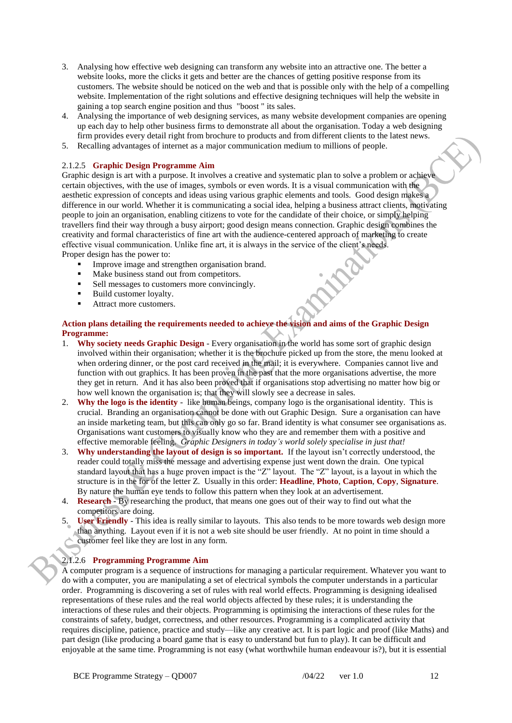- 3. Analysing how effective web designing can transform any website into an attractive one. The better a website looks, more the clicks it gets and better are the chances of getting positive response from its customers. The website should be noticed on the web and that is possible only with the help of a compelling website. Implementation of the right solutions and effective designing techniques will help the website in gaining a top search engine position and thus "boost " its sales.
- 4. Analysing the importance of web designing services, as many website development companies are opening up each day to help other business firms to demonstrate all about the organisation. Today a web designing firm provides every detail right from brochure to products and from different clients to the latest news.
- 5. Recalling advantages of internet as a major communication medium to millions of people.

### 2.1.2.5 **Graphic Design Programme Aim**

Graphic design is art with a purpose. It involves a creative and systematic plan to solve a problem or achieve certain objectives, with the use of images, symbols or even words. It is a visual communication with the aesthetic expression of concepts and ideas using various graphic elements and tools. Good design makes a difference in our world. Whether it is communicating a social idea, helping a business attract clients, motivating people to join an organisation, enabling citizens to vote for the candidate of their choice, or simply helping travellers find their way through a busy airport; good design means connection. Graphic design combines the creativity and formal characteristics of fine art with the audience-centered approach of marketing to create effective visual communication. Unlike fine art, it is always in the service of the client's needs. Proper design has the power to:

- Improve image and strengthen organisation brand.
- $\blacksquare$  Make business stand out from competitors.
- Sell messages to customers more convincingly.
- Build customer loyalty.
- Attract more customers.

# **Action plans detailing the requirements needed to achieve the vision and aims of the Graphic Design Programme:**

- 1. **Why society needs Graphic Design** Every organisation in the world has some sort of graphic design involved within their organisation; whether it is the brochure picked up from the store, the menu looked at when ordering dinner, or the post card received in the mail; it is everywhere. Companies cannot live and function with out graphics. It has been proven in the past that the more organisations advertise, the more they get in return. And it has also been proved that if organisations stop advertising no matter how big or how well known the organisation is; that they will slowly see a decrease in sales.
- 2. **Why the logo is the identity** like human beings, company logo is the organisational identity. This is crucial. Branding an organisation cannot be done with out Graphic Design. Sure a organisation can have an inside marketing team, but this can only go so far. Brand identity is what consumer see organisations as. Organisations want customers to visually know who they are and remember them with a positive and effective memorable feeling. *Graphic Designers in today's world solely specialise in just that!*
- 3. **Why understanding the layout of design is so important.** If the layout isn't correctly understood, the reader could totally miss the message and advertising expense just went down the drain. One typical standard layout that has a huge proven impact is the "Z" layout. The "Z" layout, is a layout in which the structure is in the for of the letter Z. Usually in this order: **Headline**, **Photo**, **Caption**, **Copy**, **Signature**. By nature the human eye tends to follow this pattern when they look at an advertisement.
- 4. **Research**  By researching the product, that means one goes out of their way to find out what the competitors are doing.
- 5. **User Friendly** This idea is really similar to layouts. This also tends to be more towards web design more than anything. Layout even if it is not a web site should be user friendly. At no point in time should a customer feel like they are lost in any form.

# 2.1.2.6 **Programming Programme Aim**

A computer program is a sequence of instructions for managing a particular requirement. Whatever you want to do with a computer, you are manipulating a set of electrical symbols the computer understands in a particular order. Programming is discovering a set of rules with real world effects. Programming is designing idealised representations of these rules and the real world objects affected by these rules; it is understanding the interactions of these rules and their objects. Programming is optimising the interactions of these rules for the constraints of safety, budget, correctness, and other resources. Programming is a complicated activity that requires discipline, patience, practice and study—like any creative act. It is part logic and proof (like Maths) and part design (like producing a board game that is easy to understand but fun to play). It can be difficult and enjoyable at the same time. Programming is not easy (what worthwhile human endeavour is?), but it is essential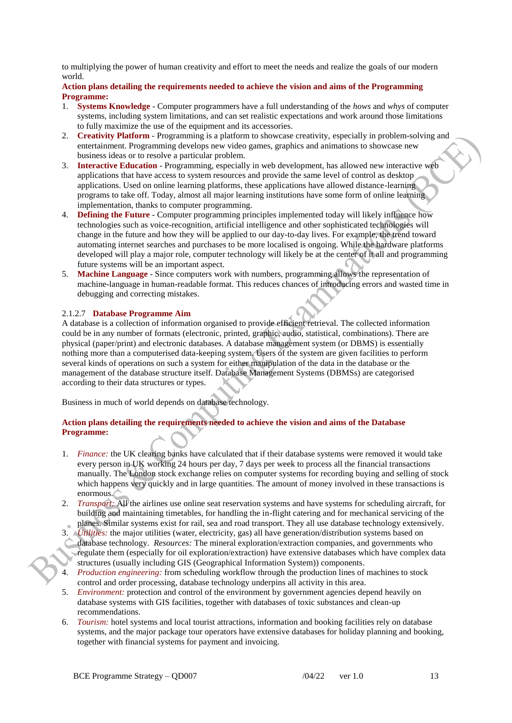to multiplying the power of human creativity and effort to meet the needs and realize the goals of our modern world.

### **Action plans detailing the requirements needed to achieve the vision and aims of the Programming Programme:**

- 1. **Systems Knowledge** Computer programmers have a full understanding of the *hows* and *whys* of computer systems, including system limitations, and can set realistic expectations and work around those limitations to fully maximize the use of the equipment and its accessories.
- 2. **Creativity Platform** Programming is a platform to showcase creativity, especially in problem-solving and entertainment. Programming develops new video games, graphics and animations to showcase new business ideas or to resolve a particular problem.
- 3. **Interactive Education** Programming, especially in web development, has allowed new interactive web applications that have access to system resources and provide the same level of control as desktop applications. Used on online learning platforms, these applications have allowed distance-learning programs to take off. Today, almost all major learning institutions have some form of online learning implementation, thanks to computer programming.
- 4. **Defining the Future** Computer programming principles implemented today will likely influence how technologies such as voice-recognition, artificial intelligence and other sophisticated technologies will change in the future and how they will be applied to our day-to-day lives. For example, the trend toward automating internet searches and purchases to be more localised is ongoing. While the hardware platforms developed will play a major role, computer technology will likely be at the center of it all and programming future systems will be an important aspect.
- 5. **Machine Language** Since computers work with numbers, programming allows the representation of machine-language in human-readable format. This reduces chances of introducing errors and wasted time in debugging and correcting mistakes.

# 2.1.2.7 **Database Programme Aim**

A database is a collection of information organised to provide efficient retrieval. The collected information could be in any number of formats (electronic, printed, graphic, audio, statistical, combinations). There are physical (paper/print) and electronic databases. A database management system (or DBMS) is essentially nothing more than a computerised data-keeping system. Users of the system are given facilities to perform several kinds of operations on such a system for either manipulation of the data in the database or the management of the database structure itself. Database Management Systems (DBMSs) are categorised according to their data structures or types.

Business in much of world depends on database technology.

### **Action plans detailing the requirements needed to achieve the vision and aims of the Database Programme:**

- 1. *Finance:* the UK clearing banks have calculated that if their database systems were removed it would take every person in UK working 24 hours per day, 7 days per week to process all the financial transactions manually. The London stock exchange relies on computer systems for recording buying and selling of stock which happens very quickly and in large quantities. The amount of money involved in these transactions is enormous.
- 2. *Transport:* All the airlines use online seat reservation systems and have systems for scheduling aircraft, for building and maintaining timetables, for handling the in-flight catering and for mechanical servicing of the planes. Similar systems exist for rail, sea and road transport. They all use database technology extensively.
- 3. *Utilities:* the major utilities (water, electricity, gas) all have generation/distribution systems based on database technology. *Resources:* The mineral exploration/extraction companies, and governments who regulate them (especially for oil exploration/extraction) have extensive databases which have complex data structures (usually including GIS (Geographical Information System)) components.
- 4. *Production engineering:* from scheduling workflow through the production lines of machines to stock control and order processing, database technology underpins all activity in this area.
- 5. *Environment:* protection and control of the environment by government agencies depend heavily on database systems with GIS facilities, together with databases of toxic substances and clean-up recommendations.
- 6. *Tourism:* hotel systems and local tourist attractions, information and booking facilities rely on database systems, and the major package tour operators have extensive databases for holiday planning and booking, together with financial systems for payment and invoicing.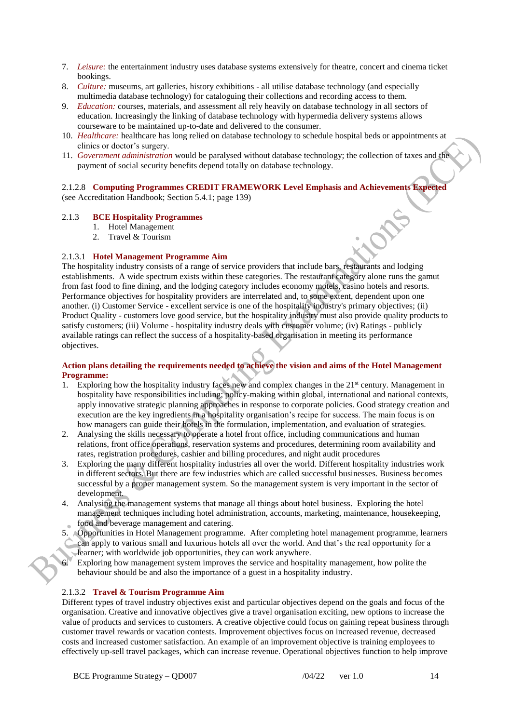- 7. *Leisure:* the entertainment industry uses database systems extensively for theatre, concert and cinema ticket bookings.
- 8. *Culture:* museums, art galleries, history exhibitions all utilise database technology (and especially multimedia database technology) for cataloguing their collections and recording access to them.
- 9. *Education:* courses, materials, and assessment all rely heavily on database technology in all sectors of education. Increasingly the linking of database technology with hypermedia delivery systems allows courseware to be maintained up-to-date and delivered to the consumer.
- 10. *Healthcare:* healthcare has long relied on database technology to schedule hospital beds or appointments at clinics or doctor's surgery.
- 11. *Government administration* would be paralysed without database technology; the collection of taxes and the payment of social security benefits depend totally on database technology.

#### 2.1.2.8 **Computing Programmes CREDIT FRAMEWORK Level Emphasis and Achievements Expected** (see Accreditation Handbook; Section 5.4.1; page 139)

#### 2.1.3 **BCE Hospitality Programmes**

- 1. Hotel Management
- 2. Travel & Tourism

### 2.1.3.1 **Hotel Management Programme Aim**

The hospitality industry consists of a range of service providers that include bars, restaurants and lodging establishments. A wide spectrum exists within these categories. The restaurant category alone runs the gamut from fast food to fine dining, and the lodging category includes economy motels, casino hotels and resorts. Performance objectives for hospitality providers are interrelated and, to some extent, dependent upon one another. (i) Customer Service - excellent service is one of the hospitality industry's primary objectives; (ii) Product Quality - customers love good service, but the hospitality industry must also provide quality products to satisfy customers; (iii) Volume - hospitality industry deals with customer volume; (iv) Ratings - publicly available ratings can reflect the success of a hospitality-based organisation in meeting its performance objectives.

## **Action plans detailing the requirements needed to achieve the vision and aims of the Hotel Management Programme:**

- 1. Exploring how the hospitality industry faces new and complex changes in the 21<sup>st</sup> century. Management in hospitality have responsibilities including; policy-making within global, international and national contexts, apply innovative strategic planning approaches in response to corporate policies. Good strategy creation and execution are the key ingredients in a hospitality organisation's recipe for success. The main focus is on how managers can guide their hotels in the formulation, implementation, and evaluation of strategies.
- 2. Analysing the skills necessary to operate a hotel front office, including communications and human relations, front office operations, reservation systems and procedures, determining room availability and rates, registration procedures, cashier and billing procedures, and night audit procedures
- 3. Exploring the many different hospitality industries all over the world. Different hospitality industries work in different sectors. But there are few industries which are called successful businesses. Business becomes successful by a proper management system. So the management system is very important in the sector of development.
- 4. Analysing the management systems that manage all things about hotel business. Exploring the hotel management techniques including hotel administration, accounts, marketing, maintenance, housekeeping, food and beverage management and catering.
- 5. Opportunities in Hotel Management programme. After completing hotel management programme, learners can apply to various small and luxurious hotels all over the world. And that's the real opportunity for a learner; with worldwide job opportunities, they can work anywhere.
- 6. Exploring how management system improves the service and hospitality management, how polite the behaviour should be and also the importance of a guest in a hospitality industry.

### 2.1.3.2 **Travel & Tourism Programme Aim**

Different types of travel industry objectives exist and particular objectives depend on the goals and focus of the organisation. Creative and innovative objectives give a travel organisation exciting, new options to increase the value of products and services to customers. A creative objective could focus on gaining repeat business through customer travel rewards or vacation contests. Improvement objectives focus on increased revenue, decreased costs and increased customer satisfaction. An example of an improvement objective is training employees to effectively up-sell travel packages, which can increase revenue. Operational objectives function to help improve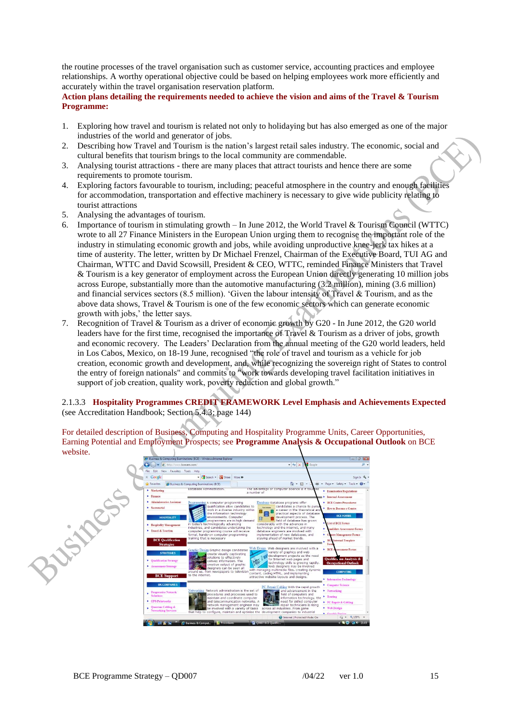the routine processes of the travel organisation such as customer service, accounting practices and employee relationships. A worthy operational objective could be based on helping employees work more efficiently and accurately within the travel organisation reservation platform.

**Action plans detailing the requirements needed to achieve the vision and aims of the Travel & Tourism Programme:**

- 1. Exploring how travel and tourism is related not only to holidaying but has also emerged as one of the major industries of the world and generator of jobs.
- 2. Describing how Travel and Tourism is the nation's largest retail sales industry. The economic, social and cultural benefits that tourism brings to the local community are commendable.
- 3. Analysing tourist attractions there are many places that attract tourists and hence there are some requirements to promote tourism.
- 4. Exploring factors favourable to tourism, including; peaceful atmosphere in the country and enough facilities for accommodation, transportation and effective machinery is necessary to give wide publicity relating to tourist attractions
- 5. Analysing the advantages of tourism.
- 6. Importance of tourism in stimulating growth In June 2012, the World Travel & Tourism Council (WTTC) wrote to all 27 Finance Ministers in the European Union urging them to recognise the important role of the industry in stimulating economic growth and jobs, while avoiding unproductive knee-jerk tax hikes at a time of austerity. The letter, written by Dr Michael Frenzel, Chairman of the Executive Board, TUI AG and Chairman, WTTC and David Scowsill, President & CEO, WTTC, reminded Finance Ministers that Travel & Tourism is a key generator of employment across the European Union directly generating 10 million jobs across Europe, substantially more than the automotive manufacturing (3.2 million), mining (3.6 million) and financial services sectors (8.5 million). 'Given the labour intensity of Travel & Tourism, and as the above data shows, Travel & Tourism is one of the few economic sectors which can generate economic growth with jobs,' the letter says.
- 7. Recognition of Travel & Tourism as a driver of economic growth by G20 In June 2012, the G20 world leaders have for the first time, recognised the importance of Travel & Tourism as a driver of jobs, growth and economic recovery. The Leaders' Declaration from the annual meeting of the G20 world leaders, held in Los Cabos, Mexico, on 18-19 June, recognised "the role of travel and tourism as a vehicle for job creation, economic growth and development, and, while recognizing the sovereign right of States to control the entry of foreign nationals" and commits to "work towards developing travel facilitation initiatives in support of job creation, quality work, poverty reduction and global growth."

# 2.1.3.3 **Hospitality Programmes CREDIT FRAMEWORK Level Emphasis and Achievements Expected** (see Accreditation Handbook; Section 5.4.3; page 144)

For detailed description of Business, Computing and Hospitality Programme Units, Career Opportunities, Earning Potential and Employment Prospects; see **Programme Analysis & Occupational Outlook** on BCE website.